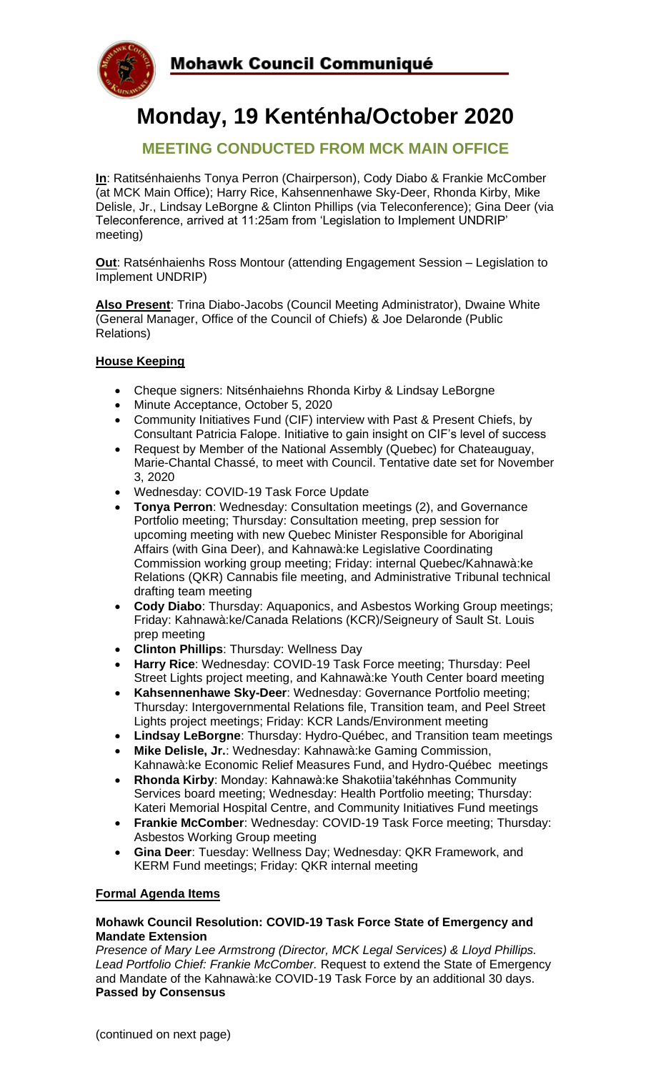



# **Monday, 19 Kenténha/October 2020**

## **MEETING CONDUCTED FROM MCK MAIN OFFICE**

**In**: Ratitsénhaienhs Tonya Perron (Chairperson), Cody Diabo & Frankie McComber (at MCK Main Office); Harry Rice, Kahsennenhawe Sky-Deer, Rhonda Kirby, Mike Delisle, Jr., Lindsay LeBorgne & Clinton Phillips (via Teleconference); Gina Deer (via Teleconference, arrived at 11:25am from 'Legislation to Implement UNDRIP' meeting)

**Out**: Ratsénhaienhs Ross Montour (attending Engagement Session – Legislation to Implement UNDRIP)

**Also Present**: Trina Diabo-Jacobs (Council Meeting Administrator), Dwaine White (General Manager, Office of the Council of Chiefs) & Joe Delaronde (Public Relations)

#### **House Keeping**

- Cheque signers: Nitsénhaiehns Rhonda Kirby & Lindsay LeBorgne
- Minute Acceptance, October 5, 2020
- Community Initiatives Fund (CIF) interview with Past & Present Chiefs, by Consultant Patricia Falope. Initiative to gain insight on CIF's level of success
- Request by Member of the National Assembly (Quebec) for Chateauguay, Marie-Chantal Chassé, to meet with Council. Tentative date set for November 3, 2020
- Wednesday: COVID-19 Task Force Update
- **Tonya Perron**: Wednesday: Consultation meetings (2), and Governance Portfolio meeting; Thursday: Consultation meeting, prep session for upcoming meeting with new Quebec Minister Responsible for Aboriginal Affairs (with Gina Deer), and Kahnawà:ke Legislative Coordinating Commission working group meeting; Friday: internal Quebec/Kahnawà:ke Relations (QKR) Cannabis file meeting, and Administrative Tribunal technical drafting team meeting
- **Cody Diabo**: Thursday: Aquaponics, and Asbestos Working Group meetings; Friday: Kahnawà:ke/Canada Relations (KCR)/Seigneury of Sault St. Louis prep meeting
- **Clinton Phillips**: Thursday: Wellness Day
- **Harry Rice**: Wednesday: COVID-19 Task Force meeting; Thursday: Peel Street Lights project meeting, and Kahnawà:ke Youth Center board meeting
- **Kahsennenhawe Sky-Deer**: Wednesday: Governance Portfolio meeting; Thursday: Intergovernmental Relations file, Transition team, and Peel Street Lights project meetings; Friday: KCR Lands/Environment meeting
- **Lindsay LeBorgne**: Thursday: Hydro-Québec, and Transition team meetings
- **Mike Delisle, Jr.**: Wednesday: Kahnawà:ke Gaming Commission, Kahnawà:ke Economic Relief Measures Fund, and Hydro-Québec meetings
- **Rhonda Kirby**: Monday: Kahnawà:ke Shakotiia'takéhnhas Community Services board meeting; Wednesday: Health Portfolio meeting; Thursday: Kateri Memorial Hospital Centre, and Community Initiatives Fund meetings
- **Frankie McComber**: Wednesday: COVID-19 Task Force meeting; Thursday: Asbestos Working Group meeting
- **Gina Deer**: Tuesday: Wellness Day; Wednesday: QKR Framework, and KERM Fund meetings; Friday: QKR internal meeting

#### **Formal Agenda Items**

#### **Mohawk Council Resolution: COVID-19 Task Force State of Emergency and Mandate Extension**

*Presence of Mary Lee Armstrong (Director, MCK Legal Services) & Lloyd Phillips. Lead Portfolio Chief: Frankie McComber.* Request to extend the State of Emergency and Mandate of the Kahnawà:ke COVID-19 Task Force by an additional 30 days. **Passed by Consensus**